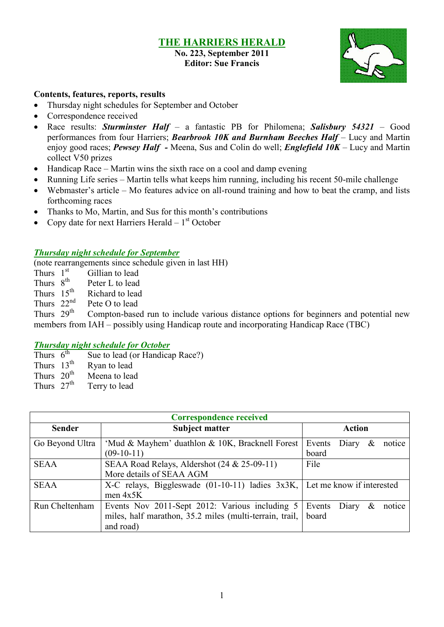#### **THE HARRIERS HERALD No. 223, September 2011 Editor: Sue Francis**



### **Contents, features, reports, results**

- Thursday night schedules for September and October
- Correspondence received
- Race results: *Sturminster Half* a fantastic PB for Philomena; *Salisbury 54321 –* Good performances from four Harriers; *Bearbrook 10K and Burnham Beeches Half* – Lucy and Martin enjoy good races; *Pewsey Half -* Meena, Sus and Colin do well; *Englefield 10K* – Lucy and Martin collect V50 prizes
- Handicap Race Martin wins the sixth race on a cool and damp evening
- Running Life series Martin tells what keeps him running, including his recent 50-mile challenge
- Webmaster's article Mo features advice on all-round training and how to beat the cramp, and lists forthcoming races
- Thanks to Mo, Martin, and Sus for this month's contributions
- Copy date for next Harriers Herald  $-1<sup>st</sup>$  October

#### *Thursday night schedule for September*

(note rearrangements since schedule given in last HH)

- Thurs  $1<sup>st</sup>$ Gillian to lead
- Thurs  $8^{th}$ Peter L to lead
- Thurs  $15^{th}$ <br>Thurs  $22^{nd}$ Richard to lead
- Pete O to lead

Thurs  $29<sup>th</sup>$ Compton-based run to include various distance options for beginners and potential new members from IAH – possibly using Handicap route and incorporating Handicap Race (TBC)

#### *Thursday night schedule for October*

- Thurs  $6^{th}$ Sue to lead (or Handicap Race?)
- Thurs  $13^{th}$ <br>Thurs  $20^{th}$ Ryan to lead
- Thurs  $20^{th}$  Meena to lead<br>Thurs  $27^{th}$  Terry to lead
- Terry to lead

| <b>Correspondence received</b> |                                                                                                                        |                                         |  |  |  |  |  |
|--------------------------------|------------------------------------------------------------------------------------------------------------------------|-----------------------------------------|--|--|--|--|--|
| <b>Sender</b>                  | <b>Subject matter</b><br><b>Action</b>                                                                                 |                                         |  |  |  |  |  |
| Go Beyond Ultra                | 'Mud & Mayhem' duathlon & 10K, Bracknell Forest<br>$(09-10-11)$                                                        | Events<br>Diary<br>&<br>notice<br>board |  |  |  |  |  |
| <b>SEAA</b>                    | SEAA Road Relays, Aldershot (24 & 25-09-11)<br>More details of SEAA AGM                                                | File                                    |  |  |  |  |  |
| <b>SEAA</b>                    | X-C relays, Biggleswade $(01-10-11)$ ladies $3x3K$ , Let me know if interested<br>men $4x5K$                           |                                         |  |  |  |  |  |
| Run Cheltenham                 | Events Nov 2011-Sept 2012: Various including 5<br>miles, half marathon, 35.2 miles (multi-terrain, trail,<br>and road) | Events Diary<br>&<br>notice<br>board    |  |  |  |  |  |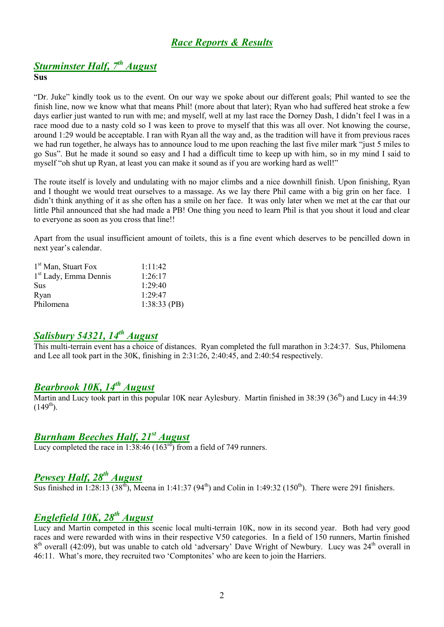# *Race Reports & Results*

# *Sturminster Half, 7th August*

#### **Sus**

"Dr. Juke" kindly took us to the event. On our way we spoke about our different goals; Phil wanted to see the finish line, now we know what that means Phil! (more about that later); Ryan who had suffered heat stroke a few days earlier just wanted to run with me; and myself, well at my last race the Dorney Dash, I didn't feel I was in a race mood due to a nasty cold so I was keen to prove to myself that this was all over. Not knowing the course, around 1:29 would be acceptable. I ran with Ryan all the way and, as the tradition will have it from previous races we had run together, he always has to announce loud to me upon reaching the last five miler mark "just 5 miles to go Sus". But he made it sound so easy and I had a difficult time to keep up with him, so in my mind I said to myself "oh shut up Ryan, at least you can make it sound as if you are working hard as well!"

The route itself is lovely and undulating with no major climbs and a nice downhill finish. Upon finishing, Ryan and I thought we would treat ourselves to a massage. As we lay there Phil came with a big grin on her face. I didn't think anything of it as she often has a smile on her face. It was only later when we met at the car that our little Phil announced that she had made a PB! One thing you need to learn Phil is that you shout it loud and clear to everyone as soon as you cross that line!!

Apart from the usual insufficient amount of toilets, this is a fine event which deserves to be pencilled down in next year's calendar.

| 1.11.42        |
|----------------|
| 1.26.17        |
| $1.29 - 40$    |
| 1.29.47        |
| $1:38:33$ (PB) |
|                |

## *Salisbury 54321, 14th August*

This multi-terrain event has a choice of distances. Ryan completed the full marathon in 3:24:37. Sus, Philomena and Lee all took part in the 30K, finishing in 2:31:26, 2:40:45, and 2:40:54 respectively.

## *Bearbrook 10K, 14th August*

Martin and Lucy took part in this popular 10K near Aylesbury. Martin finished in 38:39 (36<sup>th</sup>) and Lucy in 44:39  $(149^{th})$ .

## *Burnham Beeches Half, 21st August*

Lucy completed the race in  $1:38:46 (163<sup>rd</sup>)$  from a field of 749 runners.

## *Pewsey Half, 28th August*

Sus finished in 1:28:13 (38<sup>th</sup>), Meena in 1:41:37 (94<sup>th</sup>) and Colin in 1:49:32 (150<sup>th</sup>). There were 291 finishers.

## *Englefield 10K, 28th August*

Lucy and Martin competed in this scenic local multi-terrain 10K, now in its second year. Both had very good races and were rewarded with wins in their respective V50 categories. In a field of 150 runners, Martin finished 8<sup>th</sup> overall (42:09), but was unable to catch old 'adversary' Dave Wright of Newbury. Lucy was 24<sup>th</sup> overall in 46:11. What's more, they recruited two 'Comptonites' who are keen to join the Harriers.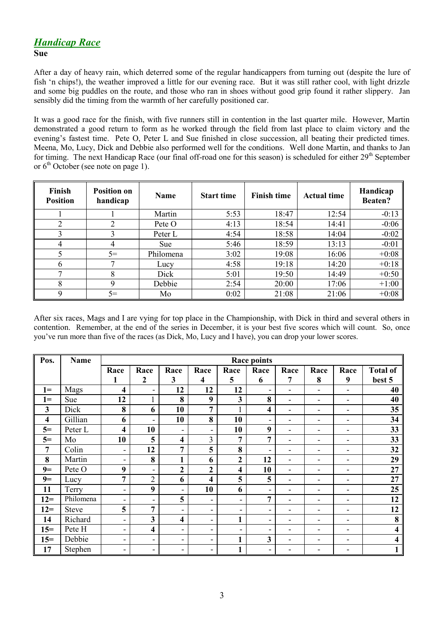### *Handicap Race* **Sue**

After a day of heavy rain, which deterred some of the regular handicappers from turning out (despite the lure of fish 'n chips!), the weather improved a little for our evening race. But it was still rather cool, with light drizzle and some big puddles on the route, and those who ran in shoes without good grip found it rather slippery. Jan sensibly did the timing from the warmth of her carefully positioned car.

It was a good race for the finish, with five runners still in contention in the last quarter mile. However, Martin demonstrated a good return to form as he worked through the field from last place to claim victory and the evening's fastest time. Pete O, Peter L and Sue finished in close succession, all beating their predicted times. Meena, Mo, Lucy, Dick and Debbie also performed well for the conditions. Well done Martin, and thanks to Jan for timing. The next Handicap Race (our final off-road one for this season) is scheduled for either 29<sup>th</sup> September or  $6<sup>th</sup>$  October (see note on page 1).

| Finish<br><b>Position</b> | <b>Position on</b><br>handicap | <b>Name</b> | <b>Start time</b> | <b>Finish time</b> | <b>Actual time</b> | Handicap<br><b>Beaten?</b> |
|---------------------------|--------------------------------|-------------|-------------------|--------------------|--------------------|----------------------------|
|                           |                                | Martin      | 5:53              | 18:47              | 12:54              | $-0:13$                    |
| ጎ                         | ◠                              | Pete O      | 4:13              | 18:54              | 14:41              | $-0:06$                    |
|                           |                                | Peter L     | 4:54              | 18:58              | 14:04              | $-0:02$                    |
| 4                         | 4                              | <b>Sue</b>  | 5:46              | 18:59              | 13:13              | $-0:01$                    |
|                           | $5=$                           | Philomena   | 3:02              | 19:08              | 16:06              | $+0:08$                    |
| b                         |                                | Lucy        | 4:58              | 19:18              | 14:20              | $+0.18$                    |
|                           | 8                              | Dick        | 5:01              | 19:50              | 14:49              | $+0:50$                    |
| 8                         | Q                              | Debbie      | 2:54              | 20:00              | 17:06              | $+1:00$                    |
| 9                         | $5=$                           | Mo          | 0:02              | 21:08              | 21:06              | $+0:08$                    |

After six races, Mags and I are vying for top place in the Championship, with Dick in third and several others in contention. Remember, at the end of the series in December, it is your best five scores which will count. So, once you've run more than five of the races (as Dick, Mo, Lucy and I have), you can drop your lower scores.

| Pos.                    | <b>Name</b>  | <b>Race points</b>       |                          |                          |                          |                |                          |                          |                              |                          |                 |
|-------------------------|--------------|--------------------------|--------------------------|--------------------------|--------------------------|----------------|--------------------------|--------------------------|------------------------------|--------------------------|-----------------|
|                         |              | Race                     | Race                     | Race                     | Race                     | Race           | Race                     | Race                     | Race                         | Race                     | <b>Total of</b> |
|                         |              | 1                        | $\boldsymbol{2}$         | 3                        | 4                        | 5              | 6                        | 7                        | 8                            | 9                        | best 5          |
| $1 =$                   | Mags         | 4                        | $\overline{\phantom{a}}$ | 12                       | 12                       | 12             | ۰                        | $\overline{\phantom{0}}$ | $\qquad \qquad \blacksquare$ | $\blacksquare$           | 40              |
| $1 =$                   | Sue          | 12                       | 1                        | 8                        | 9                        | 3              | 8                        | -                        | $\overline{\phantom{a}}$     | $\overline{\phantom{a}}$ | 40              |
| 3                       | Dick         | 8                        | 6                        | 10                       | $\overline{7}$           |                | 4                        | ۰                        | $\overline{\phantom{a}}$     | $\overline{\phantom{0}}$ | 35              |
| $\overline{\mathbf{4}}$ | Gillian      | 6                        | $\overline{\phantom{a}}$ | 10                       | 8                        | 10             | ۰                        | ۰                        | $\overline{\phantom{0}}$     | $\overline{\phantom{0}}$ | 34              |
| $5=$                    | Peter L      | $\overline{\mathbf{4}}$  | 10                       | ۰                        | $\overline{\phantom{a}}$ | 10             | 9                        | $\overline{\phantom{a}}$ | $\overline{\phantom{0}}$     | $\overline{\phantom{a}}$ | 33              |
| $5=$                    | Mo           | 10                       | 5                        | $\overline{\mathbf{4}}$  | 3                        | 7              | 7                        | ۰                        | -                            | $\overline{\phantom{0}}$ | 33              |
| 7                       | Colin        | $\overline{\phantom{a}}$ | 12                       | 7                        | 5                        | 8              | $\overline{\phantom{a}}$ | ۰                        | $\overline{\phantom{0}}$     | $\overline{\phantom{0}}$ | 32              |
| 8                       | Martin       | $\overline{\phantom{0}}$ | 8                        | $\mathbf{1}$             | 6                        | $\overline{2}$ | 12                       | ۰                        | $\blacksquare$               | $\overline{\phantom{0}}$ | 29              |
| $9=$                    | Pete O       | 9                        | $\overline{\phantom{a}}$ | $\overline{2}$           | $\mathbf{2}$             | 4              | 10                       | ۰                        | $\overline{\phantom{0}}$     | $\overline{\phantom{0}}$ | 27              |
| $9=$                    | Lucy         | $\overline{7}$           | $\overline{2}$           | 6                        | $\overline{\mathbf{4}}$  | 5              | 5                        | ۰                        | -                            | $\overline{\phantom{a}}$ | 27              |
| 11                      | Terry        | $\overline{\phantom{a}}$ | 9                        | $\overline{\phantom{a}}$ | 10                       | 6              | $\overline{\phantom{a}}$ | -                        | $\overline{\phantom{0}}$     | $\overline{\phantom{a}}$ | 25              |
| $12 =$                  | Philomena    | $\overline{\phantom{0}}$ | $\overline{\phantom{a}}$ | 5                        | $\overline{\phantom{a}}$ | ۰              | 7                        | -                        | $\overline{\phantom{0}}$     | $\overline{\phantom{0}}$ | 12              |
| $12 =$                  | <b>Steve</b> | 5                        | 7                        | $\blacksquare$           | ۰                        | ۰              | ۰                        | ۰                        | $\overline{\phantom{0}}$     | $\overline{\phantom{a}}$ | 12              |
| 14                      | Richard      | $\overline{\phantom{a}}$ | 3                        | 4                        | ۰                        | 1              | ۰                        | -                        | $\overline{\phantom{0}}$     | $\overline{\phantom{0}}$ | 8               |
| $15=$                   | Pete H       | $\overline{\phantom{0}}$ | 4                        | ۰                        | ۰                        | ۰              | ۰                        | ۰                        | $\overline{\phantom{0}}$     | $\overline{\phantom{0}}$ | 4               |
| $15=$                   | Debbie       | -                        | $\overline{\phantom{a}}$ | -                        | Ξ.                       | $\mathbf{1}$   | 3                        | ۰                        | $\overline{\phantom{0}}$     | $\overline{\phantom{a}}$ | 4               |
| 17                      | Stephen      | ۰                        | ۰                        | ۰                        | ۰                        | 1              | ۰                        |                          |                              | $\overline{\phantom{0}}$ |                 |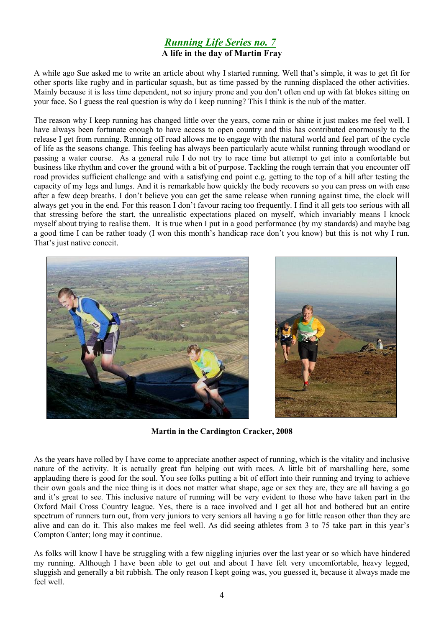### *Running Life Series no. 7* **A life in the day of Martin Fray**

A while ago Sue asked me to write an article about why I started running. Well that's simple, it was to get fit for other sports like rugby and in particular squash, but as time passed by the running displaced the other activities. Mainly because it is less time dependent, not so injury prone and you don't often end up with fat blokes sitting on your face. So I guess the real question is why do I keep running? This I think is the nub of the matter.

The reason why I keep running has changed little over the years, come rain or shine it just makes me feel well. I have always been fortunate enough to have access to open country and this has contributed enormously to the release I get from running. Running off road allows me to engage with the natural world and feel part of the cycle of life as the seasons change. This feeling has always been particularly acute whilst running through woodland or passing a water course. As a general rule I do not try to race time but attempt to get into a comfortable but business like rhythm and cover the ground with a bit of purpose. Tackling the rough terrain that you encounter off road provides sufficient challenge and with a satisfying end point e.g. getting to the top of a hill after testing the capacity of my legs and lungs. And it is remarkable how quickly the body recovers so you can press on with ease after a few deep breaths. I don't believe you can get the same release when running against time, the clock will always get you in the end. For this reason I don't favour racing too frequently. I find it all gets too serious with all that stressing before the start, the unrealistic expectations placed on myself, which invariably means I knock myself about trying to realise them. It is true when I put in a good performance (by my standards) and maybe bag a good time I can be rather toady (I won this month's handicap race don't you know) but this is not why I run. That's just native conceit.



**Martin in the Cardington Cracker, 2008**

As the years have rolled by I have come to appreciate another aspect of running, which is the vitality and inclusive nature of the activity. It is actually great fun helping out with races. A little bit of marshalling here, some applauding there is good for the soul. You see folks putting a bit of effort into their running and trying to achieve their own goals and the nice thing is it does not matter what shape, age or sex they are, they are all having a go and it's great to see. This inclusive nature of running will be very evident to those who have taken part in the Oxford Mail Cross Country league. Yes, there is a race involved and I get all hot and bothered but an entire spectrum of runners turn out, from very juniors to very seniors all having a go for little reason other than they are alive and can do it. This also makes me feel well. As did seeing athletes from 3 to 75 take part in this year's Compton Canter; long may it continue.

As folks will know I have be struggling with a few niggling injuries over the last year or so which have hindered my running. Although I have been able to get out and about I have felt very uncomfortable, heavy legged, sluggish and generally a bit rubbish. The only reason I kept going was, you guessed it, because it always made me feel well.